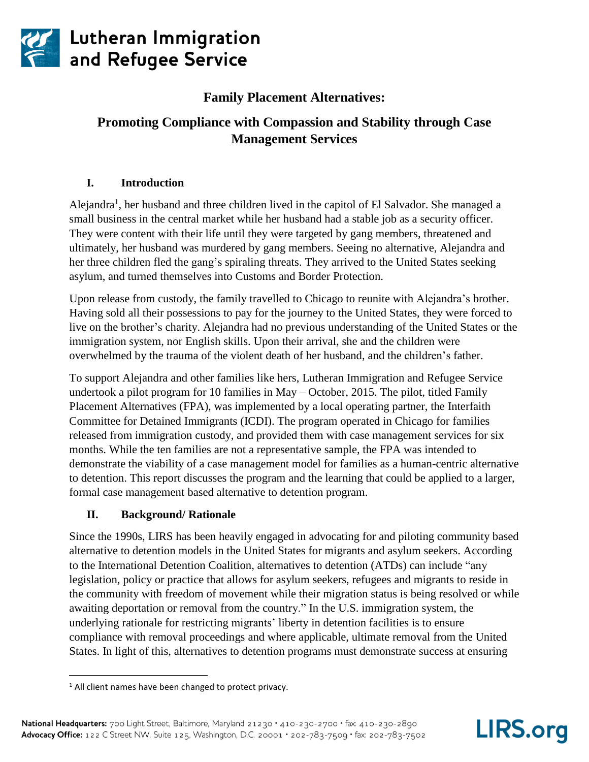

**27** Lutheran Immigration<br>Tand Refugee Service

# **Family Placement Alternatives:**

# **Promoting Compliance with Compassion and Stability through Case Management Services**

# **I. Introduction**

Alejandra<sup>1</sup>, her husband and three children lived in the capitol of El Salvador. She managed a small business in the central market while her husband had a stable job as a security officer. They were content with their life until they were targeted by gang members, threatened and ultimately, her husband was murdered by gang members. Seeing no alternative, Alejandra and her three children fled the gang's spiraling threats. They arrived to the United States seeking asylum, and turned themselves into Customs and Border Protection.

Upon release from custody, the family travelled to Chicago to reunite with Alejandra's brother. Having sold all their possessions to pay for the journey to the United States, they were forced to live on the brother's charity. Alejandra had no previous understanding of the United States or the immigration system, nor English skills. Upon their arrival, she and the children were overwhelmed by the trauma of the violent death of her husband, and the children's father.

To support Alejandra and other families like hers, Lutheran Immigration and Refugee Service undertook a pilot program for 10 families in May – October, 2015. The pilot, titled Family Placement Alternatives (FPA), was implemented by a local operating partner, the Interfaith Committee for Detained Immigrants (ICDI). The program operated in Chicago for families released from immigration custody, and provided them with case management services for six months. While the ten families are not a representative sample, the FPA was intended to demonstrate the viability of a case management model for families as a human-centric alternative to detention. This report discusses the program and the learning that could be applied to a larger, formal case management based alternative to detention program.

## **II. Background/ Rationale**

Since the 1990s, LIRS has been heavily engaged in advocating for and piloting community based alternative to detention models in the United States for migrants and asylum seekers. According to the International Detention Coalition, alternatives to detention (ATDs) can include "any legislation, policy or practice that allows for asylum seekers, refugees and migrants to reside in the community with freedom of movement while their migration status is being resolved or while awaiting deportation or removal from the country." In the U.S. immigration system, the underlying rationale for restricting migrants' liberty in detention facilities is to ensure compliance with removal proceedings and where applicable, ultimate removal from the United States. In light of this, alternatives to detention programs must demonstrate success at ensuring



 $1$  All client names have been changed to protect privacy.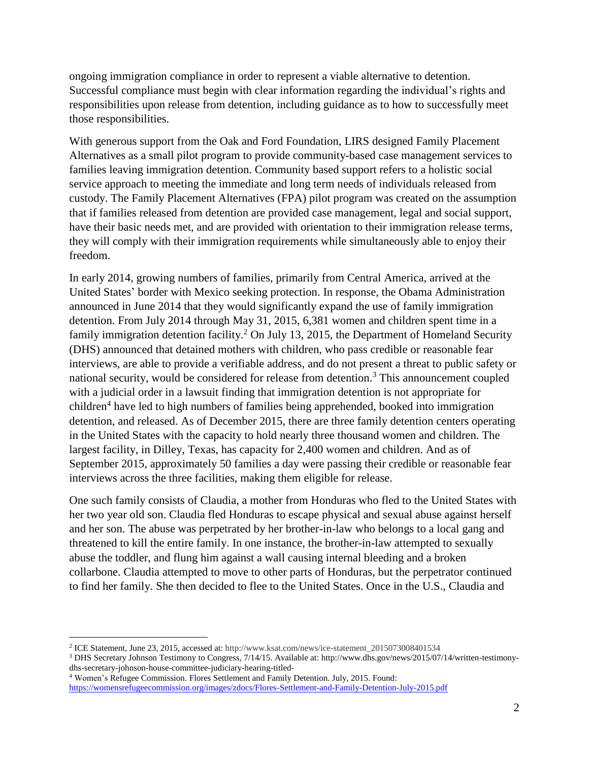ongoing immigration compliance in order to represent a viable alternative to detention. Successful compliance must begin with clear information regarding the individual's rights and responsibilities upon release from detention, including guidance as to how to successfully meet those responsibilities.

With generous support from the Oak and Ford Foundation, LIRS designed Family Placement Alternatives as a small pilot program to provide community-based case management services to families leaving immigration detention. Community based support refers to a holistic social service approach to meeting the immediate and long term needs of individuals released from custody. The Family Placement Alternatives (FPA) pilot program was created on the assumption that if families released from detention are provided case management, legal and social support, have their basic needs met, and are provided with orientation to their immigration release terms, they will comply with their immigration requirements while simultaneously able to enjoy their freedom.

In early 2014, growing numbers of families, primarily from Central America, arrived at the United States' border with Mexico seeking protection. In response, the Obama Administration announced in June 2014 that they would significantly expand the use of family immigration detention. From July 2014 through May 31, 2015, 6,381 women and children spent time in a family immigration detention facility.<sup>2</sup> On July 13, 2015, the Department of Homeland Security (DHS) announced that detained mothers with children, who pass credible or reasonable fear interviews, are able to provide a verifiable address, and do not present a threat to public safety or national security, would be considered for release from detention.<sup>3</sup> This announcement coupled with a judicial order in a lawsuit finding that immigration detention is not appropriate for children<sup>4</sup> have led to high numbers of families being apprehended, booked into immigration detention, and released. As of December 2015, there are three family detention centers operating in the United States with the capacity to hold nearly three thousand women and children. The largest facility, in Dilley, Texas, has capacity for 2,400 women and children. And as of September 2015, approximately 50 families a day were passing their credible or reasonable fear interviews across the three facilities, making them eligible for release.

One such family consists of Claudia, a mother from Honduras who fled to the United States with her two year old son. Claudia fled Honduras to escape physical and sexual abuse against herself and her son. The abuse was perpetrated by her brother-in-law who belongs to a local gang and threatened to kill the entire family. In one instance, the brother-in-law attempted to sexually abuse the toddler, and flung him against a wall causing internal bleeding and a broken collarbone. Claudia attempted to move to other parts of Honduras, but the perpetrator continued to find her family. She then decided to flee to the United States. Once in the U.S., Claudia and

<sup>2</sup> ICE Statement, June 23, 2015, accessed at: http://www.ksat.com/news/ice-statement\_2015073008401534

<sup>3</sup> DHS Secretary Johnson Testimony to Congress, 7/14/15. Available at: http://www.dhs.gov/news/2015/07/14/written-testimonydhs-secretary-johnson-house-committee-judiciary-hearing-titled-

<sup>4</sup> Women's Refugee Commission. Flores Settlement and Family Detention. July, 2015. Found: <https://womensrefugeecommission.org/images/zdocs/Flores-Settlement-and-Family-Detention-July-2015.pdf>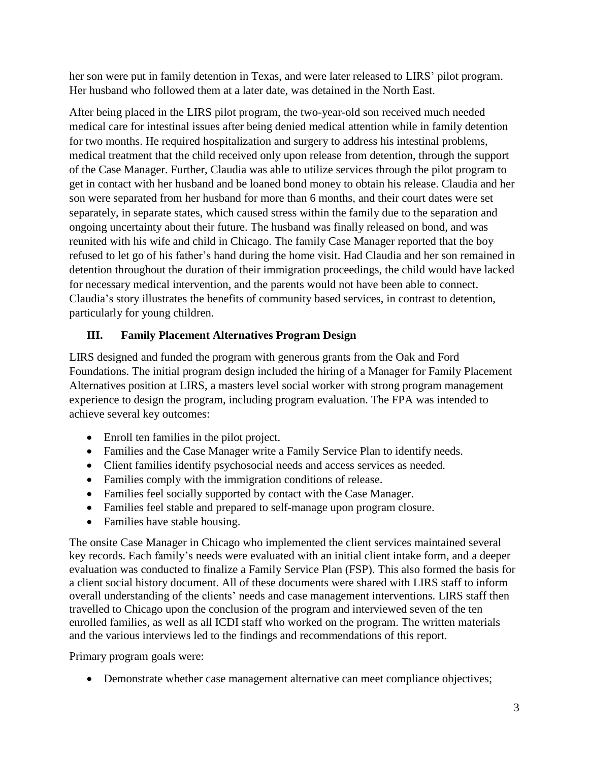her son were put in family detention in Texas, and were later released to LIRS' pilot program. Her husband who followed them at a later date, was detained in the North East.

After being placed in the LIRS pilot program, the two-year-old son received much needed medical care for intestinal issues after being denied medical attention while in family detention for two months. He required hospitalization and surgery to address his intestinal problems, medical treatment that the child received only upon release from detention, through the support of the Case Manager. Further, Claudia was able to utilize services through the pilot program to get in contact with her husband and be loaned bond money to obtain his release. Claudia and her son were separated from her husband for more than 6 months, and their court dates were set separately, in separate states, which caused stress within the family due to the separation and ongoing uncertainty about their future. The husband was finally released on bond, and was reunited with his wife and child in Chicago. The family Case Manager reported that the boy refused to let go of his father's hand during the home visit. Had Claudia and her son remained in detention throughout the duration of their immigration proceedings, the child would have lacked for necessary medical intervention, and the parents would not have been able to connect. Claudia's story illustrates the benefits of community based services, in contrast to detention, particularly for young children.

# **III. Family Placement Alternatives Program Design**

LIRS designed and funded the program with generous grants from the Oak and Ford Foundations. The initial program design included the hiring of a Manager for Family Placement Alternatives position at LIRS, a masters level social worker with strong program management experience to design the program, including program evaluation. The FPA was intended to achieve several key outcomes:

- Enroll ten families in the pilot project.
- Families and the Case Manager write a Family Service Plan to identify needs.
- Client families identify psychosocial needs and access services as needed.
- Families comply with the immigration conditions of release.
- Families feel socially supported by contact with the Case Manager.
- Families feel stable and prepared to self-manage upon program closure.
- Families have stable housing.

The onsite Case Manager in Chicago who implemented the client services maintained several key records. Each family's needs were evaluated with an initial client intake form, and a deeper evaluation was conducted to finalize a Family Service Plan (FSP). This also formed the basis for a client social history document. All of these documents were shared with LIRS staff to inform overall understanding of the clients' needs and case management interventions. LIRS staff then travelled to Chicago upon the conclusion of the program and interviewed seven of the ten enrolled families, as well as all ICDI staff who worked on the program. The written materials and the various interviews led to the findings and recommendations of this report.

Primary program goals were:

Demonstrate whether case management alternative can meet compliance objectives;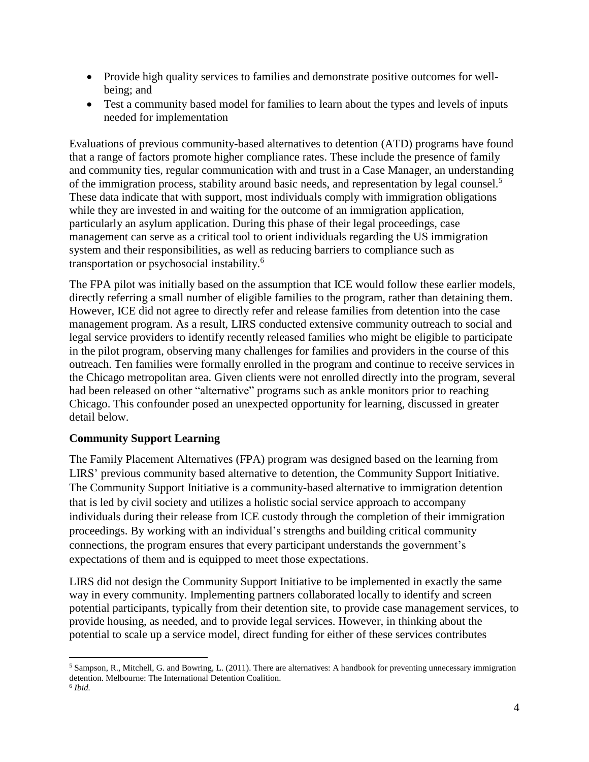- Provide high quality services to families and demonstrate positive outcomes for wellbeing; and
- Test a community based model for families to learn about the types and levels of inputs needed for implementation

Evaluations of previous community-based alternatives to detention (ATD) programs have found that a range of factors promote higher compliance rates. These include the presence of family and community ties, regular communication with and trust in a Case Manager, an understanding of the immigration process, stability around basic needs, and representation by legal counsel.<sup>5</sup> These data indicate that with support, most individuals comply with immigration obligations while they are invested in and waiting for the outcome of an immigration application, particularly an asylum application. During this phase of their legal proceedings, case management can serve as a critical tool to orient individuals regarding the US immigration system and their responsibilities, as well as reducing barriers to compliance such as transportation or psychosocial instability.<sup>6</sup>

The FPA pilot was initially based on the assumption that ICE would follow these earlier models, directly referring a small number of eligible families to the program, rather than detaining them. However, ICE did not agree to directly refer and release families from detention into the case management program. As a result, LIRS conducted extensive community outreach to social and legal service providers to identify recently released families who might be eligible to participate in the pilot program, observing many challenges for families and providers in the course of this outreach. Ten families were formally enrolled in the program and continue to receive services in the Chicago metropolitan area. Given clients were not enrolled directly into the program, several had been released on other "alternative" programs such as ankle monitors prior to reaching Chicago. This confounder posed an unexpected opportunity for learning, discussed in greater detail below.

#### **Community Support Learning**

The Family Placement Alternatives (FPA) program was designed based on the learning from LIRS' previous community based alternative to detention, the Community Support Initiative. The Community Support Initiative is a community-based alternative to immigration detention that is led by civil society and utilizes a holistic social service approach to accompany individuals during their release from ICE custody through the completion of their immigration proceedings. By working with an individual's strengths and building critical community connections, the program ensures that every participant understands the government's expectations of them and is equipped to meet those expectations.

LIRS did not design the Community Support Initiative to be implemented in exactly the same way in every community. Implementing partners collaborated locally to identify and screen potential participants, typically from their detention site, to provide case management services, to provide housing, as needed, and to provide legal services. However, in thinking about the potential to scale up a service model, direct funding for either of these services contributes

 $5$  Sampson, R., Mitchell, G. and Bowring, L. (2011). There are alternatives: A handbook for preventing unnecessary immigration detention. Melbourne: The International Detention Coalition.

<sup>6</sup> *Ibid.*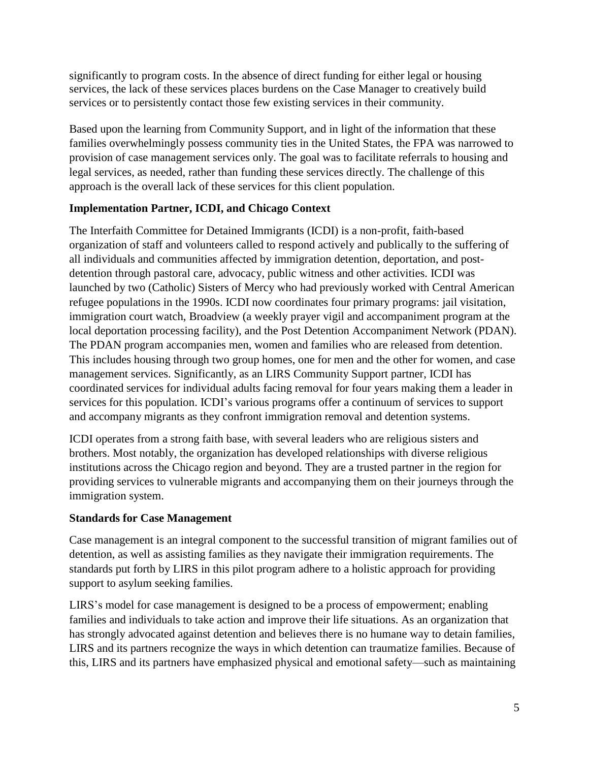significantly to program costs. In the absence of direct funding for either legal or housing services, the lack of these services places burdens on the Case Manager to creatively build services or to persistently contact those few existing services in their community.

Based upon the learning from Community Support, and in light of the information that these families overwhelmingly possess community ties in the United States, the FPA was narrowed to provision of case management services only. The goal was to facilitate referrals to housing and legal services, as needed, rather than funding these services directly. The challenge of this approach is the overall lack of these services for this client population.

## **Implementation Partner, ICDI, and Chicago Context**

The Interfaith Committee for Detained Immigrants (ICDI) is a non-profit, faith-based organization of staff and volunteers called to respond actively and publically to the suffering of all individuals and communities affected by immigration detention, deportation, and postdetention through pastoral care, advocacy, public witness and other activities. ICDI was launched by two (Catholic) Sisters of Mercy who had previously worked with Central American refugee populations in the 1990s. ICDI now coordinates four primary programs: jail visitation, immigration court watch, Broadview (a weekly prayer vigil and accompaniment program at the local deportation processing facility), and the Post Detention Accompaniment Network (PDAN). The PDAN program accompanies men, women and families who are released from detention. This includes housing through two group homes, one for men and the other for women, and case management services. Significantly, as an LIRS Community Support partner, ICDI has coordinated services for individual adults facing removal for four years making them a leader in services for this population. ICDI's various programs offer a continuum of services to support and accompany migrants as they confront immigration removal and detention systems.

ICDI operates from a strong faith base, with several leaders who are religious sisters and brothers. Most notably, the organization has developed relationships with diverse religious institutions across the Chicago region and beyond. They are a trusted partner in the region for providing services to vulnerable migrants and accompanying them on their journeys through the immigration system.

# **Standards for Case Management**

Case management is an integral component to the successful transition of migrant families out of detention, as well as assisting families as they navigate their immigration requirements. The standards put forth by LIRS in this pilot program adhere to a holistic approach for providing support to asylum seeking families.

LIRS's model for case management is designed to be a process of empowerment; enabling families and individuals to take action and improve their life situations. As an organization that has strongly advocated against detention and believes there is no humane way to detain families, LIRS and its partners recognize the ways in which detention can traumatize families. Because of this, LIRS and its partners have emphasized physical and emotional safety—such as maintaining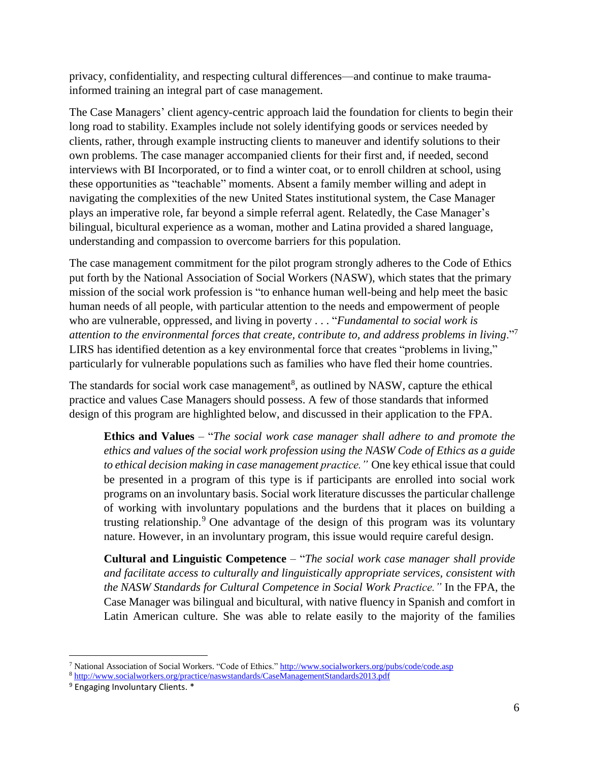privacy, confidentiality, and respecting cultural differences—and continue to make traumainformed training an integral part of case management.

The Case Managers' client agency-centric approach laid the foundation for clients to begin their long road to stability. Examples include not solely identifying goods or services needed by clients, rather, through example instructing clients to maneuver and identify solutions to their own problems. The case manager accompanied clients for their first and, if needed, second interviews with BI Incorporated, or to find a winter coat, or to enroll children at school, using these opportunities as "teachable" moments. Absent a family member willing and adept in navigating the complexities of the new United States institutional system, the Case Manager plays an imperative role, far beyond a simple referral agent. Relatedly, the Case Manager's bilingual, bicultural experience as a woman, mother and Latina provided a shared language, understanding and compassion to overcome barriers for this population.

The case management commitment for the pilot program strongly adheres to the Code of Ethics put forth by the National Association of Social Workers (NASW), which states that the primary mission of the social work profession is "to enhance human well-being and help meet the basic human needs of all people, with particular attention to the needs and empowerment of people who are vulnerable, oppressed, and living in poverty . . . "*Fundamental to social work is attention to the environmental forces that create, contribute to, and address problems in living*."<sup>7</sup> LIRS has identified detention as a key environmental force that creates "problems in living," particularly for vulnerable populations such as families who have fled their home countries.

The standards for social work case management<sup>8</sup>, as outlined by NASW, capture the ethical practice and values Case Managers should possess. A few of those standards that informed design of this program are highlighted below, and discussed in their application to the FPA.

**Ethics and Values** – "*The social work case manager shall adhere to and promote the ethics and values of the social work profession using the NASW Code of Ethics as a guide to ethical decision making in case management practice."* One key ethical issue that could be presented in a program of this type is if participants are enrolled into social work programs on an involuntary basis. Social work literature discusses the particular challenge of working with involuntary populations and the burdens that it places on building a trusting relationship.<sup>9</sup> One advantage of the design of this program was its voluntary nature. However, in an involuntary program, this issue would require careful design.

**Cultural and Linguistic Competence** – "*The social work case manager shall provide and facilitate access to culturally and linguistically appropriate services, consistent with the NASW Standards for Cultural Competence in Social Work Practice."* In the FPA, the Case Manager was bilingual and bicultural, with native fluency in Spanish and comfort in Latin American culture. She was able to relate easily to the majority of the families

<sup>7</sup> National Association of Social Workers. "Code of Ethics." <http://www.socialworkers.org/pubs/code/code.asp>

<sup>8</sup> <http://www.socialworkers.org/practice/naswstandards/CaseManagementStandards2013.pdf>

<sup>9</sup> Engaging Involuntary Clients. \*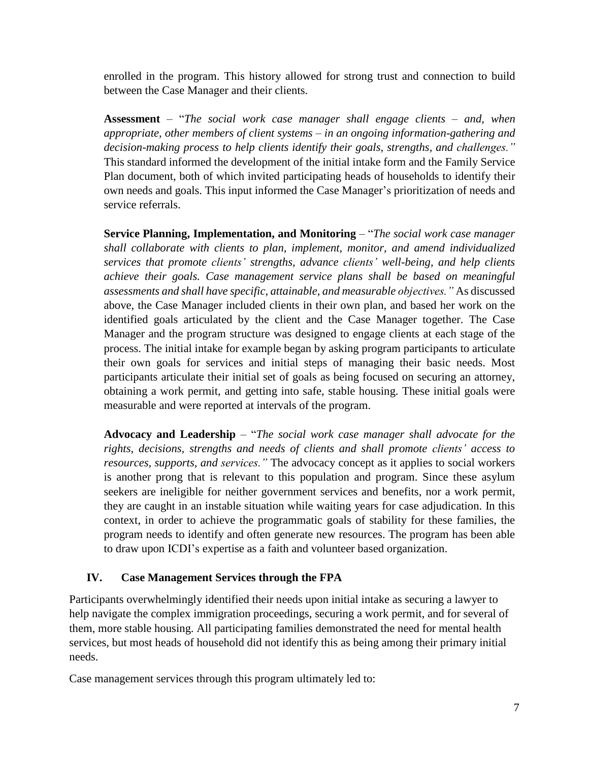enrolled in the program. This history allowed for strong trust and connection to build between the Case Manager and their clients.

**Assessment** – "*The social work case manager shall engage clients – and, when appropriate, other members of client systems – in an ongoing information-gathering and decision-making process to help clients identify their goals, strengths, and challenges."* This standard informed the development of the initial intake form and the Family Service Plan document, both of which invited participating heads of households to identify their own needs and goals. This input informed the Case Manager's prioritization of needs and service referrals.

**Service Planning, Implementation, and Monitoring** – "*The social work case manager shall collaborate with clients to plan, implement, monitor, and amend individualized services that promote clients' strengths, advance clients' well-being, and help clients achieve their goals. Case management service plans shall be based on meaningful assessments and shall have specific, attainable, and measurable objectives."* As discussed above, the Case Manager included clients in their own plan, and based her work on the identified goals articulated by the client and the Case Manager together. The Case Manager and the program structure was designed to engage clients at each stage of the process. The initial intake for example began by asking program participants to articulate their own goals for services and initial steps of managing their basic needs. Most participants articulate their initial set of goals as being focused on securing an attorney, obtaining a work permit, and getting into safe, stable housing. These initial goals were measurable and were reported at intervals of the program.

**Advocacy and Leadership** – "*The social work case manager shall advocate for the rights, decisions, strengths and needs of clients and shall promote clients' access to resources, supports, and services."* The advocacy concept as it applies to social workers is another prong that is relevant to this population and program. Since these asylum seekers are ineligible for neither government services and benefits, nor a work permit, they are caught in an instable situation while waiting years for case adjudication. In this context, in order to achieve the programmatic goals of stability for these families, the program needs to identify and often generate new resources. The program has been able to draw upon ICDI's expertise as a faith and volunteer based organization.

#### **IV. Case Management Services through the FPA**

Participants overwhelmingly identified their needs upon initial intake as securing a lawyer to help navigate the complex immigration proceedings, securing a work permit, and for several of them, more stable housing. All participating families demonstrated the need for mental health services, but most heads of household did not identify this as being among their primary initial needs.

Case management services through this program ultimately led to: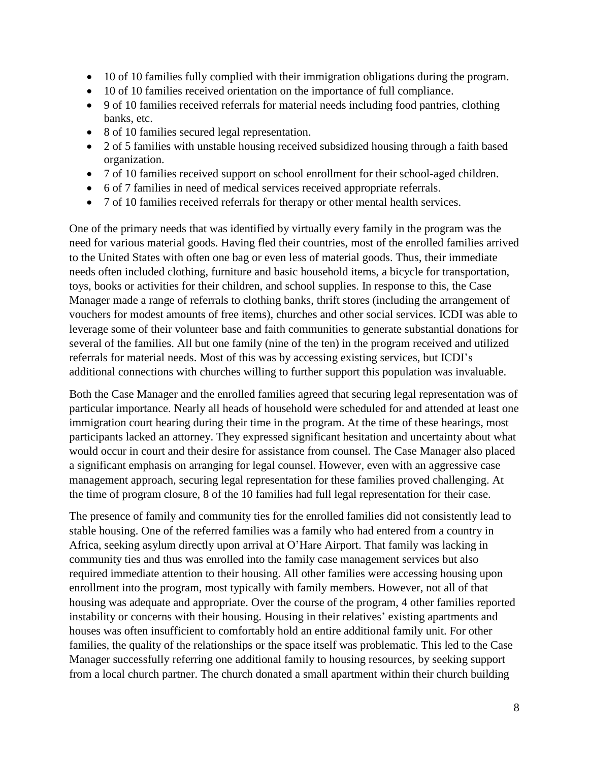- 10 of 10 families fully complied with their immigration obligations during the program.
- 10 of 10 families received orientation on the importance of full compliance.
- 9 of 10 families received referrals for material needs including food pantries, clothing banks, etc.
- 8 of 10 families secured legal representation.
- 2 of 5 families with unstable housing received subsidized housing through a faith based organization.
- 7 of 10 families received support on school enrollment for their school-aged children.
- 6 of 7 families in need of medical services received appropriate referrals.
- 7 of 10 families received referrals for therapy or other mental health services.

One of the primary needs that was identified by virtually every family in the program was the need for various material goods. Having fled their countries, most of the enrolled families arrived to the United States with often one bag or even less of material goods. Thus, their immediate needs often included clothing, furniture and basic household items, a bicycle for transportation, toys, books or activities for their children, and school supplies. In response to this, the Case Manager made a range of referrals to clothing banks, thrift stores (including the arrangement of vouchers for modest amounts of free items), churches and other social services. ICDI was able to leverage some of their volunteer base and faith communities to generate substantial donations for several of the families. All but one family (nine of the ten) in the program received and utilized referrals for material needs. Most of this was by accessing existing services, but ICDI's additional connections with churches willing to further support this population was invaluable.

Both the Case Manager and the enrolled families agreed that securing legal representation was of particular importance. Nearly all heads of household were scheduled for and attended at least one immigration court hearing during their time in the program. At the time of these hearings, most participants lacked an attorney. They expressed significant hesitation and uncertainty about what would occur in court and their desire for assistance from counsel. The Case Manager also placed a significant emphasis on arranging for legal counsel. However, even with an aggressive case management approach, securing legal representation for these families proved challenging. At the time of program closure, 8 of the 10 families had full legal representation for their case.

The presence of family and community ties for the enrolled families did not consistently lead to stable housing. One of the referred families was a family who had entered from a country in Africa, seeking asylum directly upon arrival at O'Hare Airport. That family was lacking in community ties and thus was enrolled into the family case management services but also required immediate attention to their housing. All other families were accessing housing upon enrollment into the program, most typically with family members. However, not all of that housing was adequate and appropriate. Over the course of the program, 4 other families reported instability or concerns with their housing. Housing in their relatives' existing apartments and houses was often insufficient to comfortably hold an entire additional family unit. For other families, the quality of the relationships or the space itself was problematic. This led to the Case Manager successfully referring one additional family to housing resources, by seeking support from a local church partner. The church donated a small apartment within their church building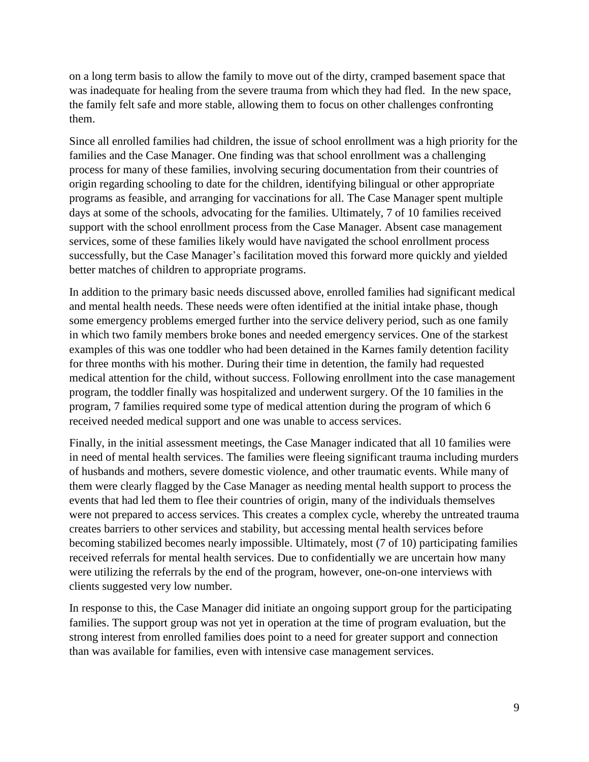on a long term basis to allow the family to move out of the dirty, cramped basement space that was inadequate for healing from the severe trauma from which they had fled. In the new space, the family felt safe and more stable, allowing them to focus on other challenges confronting them.

Since all enrolled families had children, the issue of school enrollment was a high priority for the families and the Case Manager. One finding was that school enrollment was a challenging process for many of these families, involving securing documentation from their countries of origin regarding schooling to date for the children, identifying bilingual or other appropriate programs as feasible, and arranging for vaccinations for all. The Case Manager spent multiple days at some of the schools, advocating for the families. Ultimately, 7 of 10 families received support with the school enrollment process from the Case Manager. Absent case management services, some of these families likely would have navigated the school enrollment process successfully, but the Case Manager's facilitation moved this forward more quickly and yielded better matches of children to appropriate programs.

In addition to the primary basic needs discussed above, enrolled families had significant medical and mental health needs. These needs were often identified at the initial intake phase, though some emergency problems emerged further into the service delivery period, such as one family in which two family members broke bones and needed emergency services. One of the starkest examples of this was one toddler who had been detained in the Karnes family detention facility for three months with his mother. During their time in detention, the family had requested medical attention for the child, without success. Following enrollment into the case management program, the toddler finally was hospitalized and underwent surgery. Of the 10 families in the program, 7 families required some type of medical attention during the program of which 6 received needed medical support and one was unable to access services.

Finally, in the initial assessment meetings, the Case Manager indicated that all 10 families were in need of mental health services. The families were fleeing significant trauma including murders of husbands and mothers, severe domestic violence, and other traumatic events. While many of them were clearly flagged by the Case Manager as needing mental health support to process the events that had led them to flee their countries of origin, many of the individuals themselves were not prepared to access services. This creates a complex cycle, whereby the untreated trauma creates barriers to other services and stability, but accessing mental health services before becoming stabilized becomes nearly impossible. Ultimately, most (7 of 10) participating families received referrals for mental health services. Due to confidentially we are uncertain how many were utilizing the referrals by the end of the program, however, one-on-one interviews with clients suggested very low number.

In response to this, the Case Manager did initiate an ongoing support group for the participating families. The support group was not yet in operation at the time of program evaluation, but the strong interest from enrolled families does point to a need for greater support and connection than was available for families, even with intensive case management services.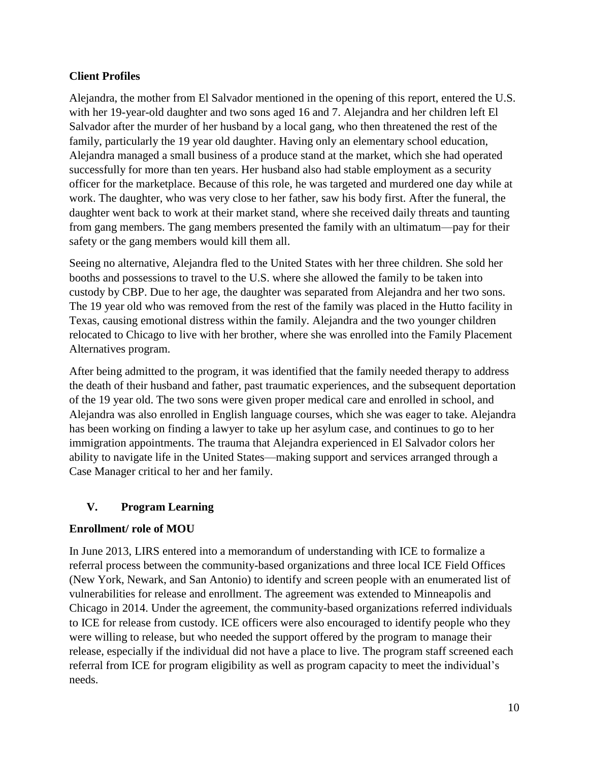#### **Client Profiles**

Alejandra, the mother from El Salvador mentioned in the opening of this report, entered the U.S. with her 19-year-old daughter and two sons aged 16 and 7. Alejandra and her children left El Salvador after the murder of her husband by a local gang, who then threatened the rest of the family, particularly the 19 year old daughter. Having only an elementary school education, Alejandra managed a small business of a produce stand at the market, which she had operated successfully for more than ten years. Her husband also had stable employment as a security officer for the marketplace. Because of this role, he was targeted and murdered one day while at work. The daughter, who was very close to her father, saw his body first. After the funeral, the daughter went back to work at their market stand, where she received daily threats and taunting from gang members. The gang members presented the family with an ultimatum—pay for their safety or the gang members would kill them all.

Seeing no alternative, Alejandra fled to the United States with her three children. She sold her booths and possessions to travel to the U.S. where she allowed the family to be taken into custody by CBP. Due to her age, the daughter was separated from Alejandra and her two sons. The 19 year old who was removed from the rest of the family was placed in the Hutto facility in Texas, causing emotional distress within the family. Alejandra and the two younger children relocated to Chicago to live with her brother, where she was enrolled into the Family Placement Alternatives program.

After being admitted to the program, it was identified that the family needed therapy to address the death of their husband and father, past traumatic experiences, and the subsequent deportation of the 19 year old. The two sons were given proper medical care and enrolled in school, and Alejandra was also enrolled in English language courses, which she was eager to take. Alejandra has been working on finding a lawyer to take up her asylum case, and continues to go to her immigration appointments. The trauma that Alejandra experienced in El Salvador colors her ability to navigate life in the United States—making support and services arranged through a Case Manager critical to her and her family.

## **V. Program Learning**

#### **Enrollment/ role of MOU**

In June 2013, LIRS entered into a memorandum of understanding with ICE to formalize a referral process between the community-based organizations and three local ICE Field Offices (New York, Newark, and San Antonio) to identify and screen people with an enumerated list of vulnerabilities for release and enrollment. The agreement was extended to Minneapolis and Chicago in 2014. Under the agreement, the community-based organizations referred individuals to ICE for release from custody. ICE officers were also encouraged to identify people who they were willing to release, but who needed the support offered by the program to manage their release, especially if the individual did not have a place to live. The program staff screened each referral from ICE for program eligibility as well as program capacity to meet the individual's needs.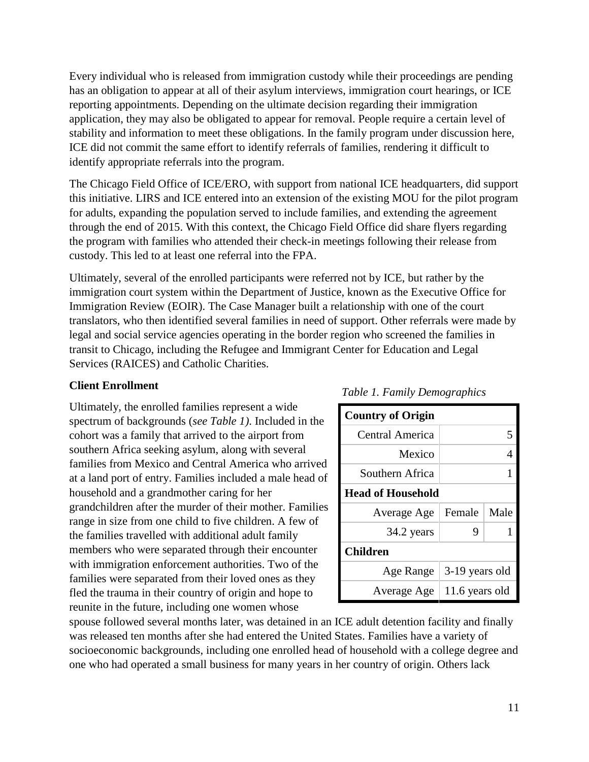Every individual who is released from immigration custody while their proceedings are pending has an obligation to appear at all of their asylum interviews, immigration court hearings, or ICE reporting appointments. Depending on the ultimate decision regarding their immigration application, they may also be obligated to appear for removal. People require a certain level of stability and information to meet these obligations. In the family program under discussion here, ICE did not commit the same effort to identify referrals of families, rendering it difficult to identify appropriate referrals into the program.

The Chicago Field Office of ICE/ERO, with support from national ICE headquarters, did support this initiative. LIRS and ICE entered into an extension of the existing MOU for the pilot program for adults, expanding the population served to include families, and extending the agreement through the end of 2015. With this context, the Chicago Field Office did share flyers regarding the program with families who attended their check-in meetings following their release from custody. This led to at least one referral into the FPA.

Ultimately, several of the enrolled participants were referred not by ICE, but rather by the immigration court system within the Department of Justice, known as the Executive Office for Immigration Review (EOIR). The Case Manager built a relationship with one of the court translators, who then identified several families in need of support. Other referrals were made by legal and social service agencies operating in the border region who screened the families in transit to Chicago, including the Refugee and Immigrant Center for Education and Legal Services (RAICES) and Catholic Charities.

#### **Client Enrollment**

Ultimately, the enrolled families represent a wide spectrum of backgrounds (*see Table 1)*. Included in the cohort was a family that arrived to the airport from southern Africa seeking asylum, along with several families from Mexico and Central America who arrived at a land port of entry. Families included a male head of household and a grandmother caring for her grandchildren after the murder of their mother. Families range in size from one child to five children. A few of the families travelled with additional adult family members who were separated through their encounter with immigration enforcement authorities. Two of the families were separated from their loved ones as they fled the trauma in their country of origin and hope to reunite in the future, including one women whose

# **Country of Origin** Central America 3 Mexico 4 Southern Africa 1 **Head of Household** Average Age | Female | Male 34.2 years  $| 9 | 1$ **Children** Age Range  $\vert$  3-19 years old Average Age  $|11.6$  years old

#### *Table 1. Family Demographics*

spouse followed several months later, was detained in an ICE adult detention facility and finally was released ten months after she had entered the United States. Families have a variety of socioeconomic backgrounds, including one enrolled head of household with a college degree and one who had operated a small business for many years in her country of origin. Others lack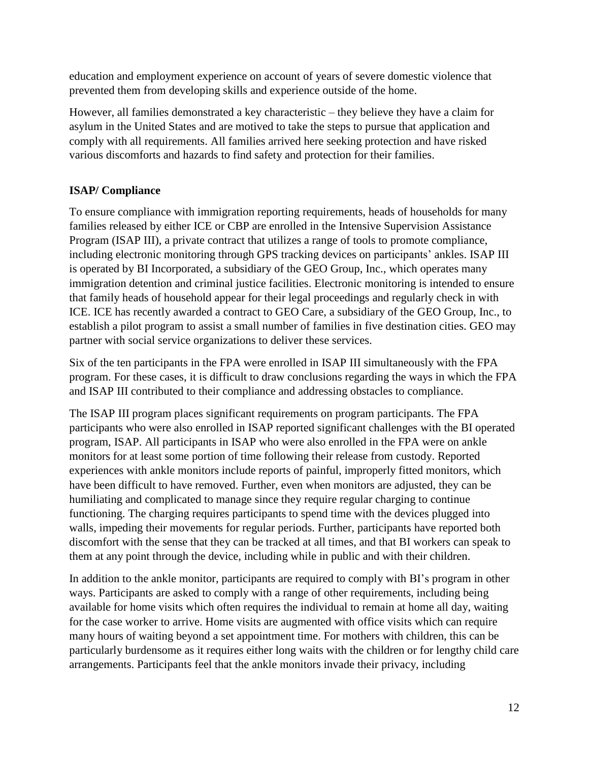education and employment experience on account of years of severe domestic violence that prevented them from developing skills and experience outside of the home.

However, all families demonstrated a key characteristic – they believe they have a claim for asylum in the United States and are motived to take the steps to pursue that application and comply with all requirements. All families arrived here seeking protection and have risked various discomforts and hazards to find safety and protection for their families.

## **ISAP/ Compliance**

To ensure compliance with immigration reporting requirements, heads of households for many families released by either ICE or CBP are enrolled in the Intensive Supervision Assistance Program (ISAP III), a private contract that utilizes a range of tools to promote compliance, including electronic monitoring through GPS tracking devices on participants' ankles. ISAP III is operated by BI Incorporated, a subsidiary of the GEO Group, Inc., which operates many immigration detention and criminal justice facilities. Electronic monitoring is intended to ensure that family heads of household appear for their legal proceedings and regularly check in with ICE. ICE has recently awarded a contract to GEO Care, a subsidiary of the GEO Group, Inc., to establish a pilot program to assist a small number of families in five destination cities. GEO may partner with social service organizations to deliver these services.

Six of the ten participants in the FPA were enrolled in ISAP III simultaneously with the FPA program. For these cases, it is difficult to draw conclusions regarding the ways in which the FPA and ISAP III contributed to their compliance and addressing obstacles to compliance.

The ISAP III program places significant requirements on program participants. The FPA participants who were also enrolled in ISAP reported significant challenges with the BI operated program, ISAP. All participants in ISAP who were also enrolled in the FPA were on ankle monitors for at least some portion of time following their release from custody. Reported experiences with ankle monitors include reports of painful, improperly fitted monitors, which have been difficult to have removed. Further, even when monitors are adjusted, they can be humiliating and complicated to manage since they require regular charging to continue functioning. The charging requires participants to spend time with the devices plugged into walls, impeding their movements for regular periods. Further, participants have reported both discomfort with the sense that they can be tracked at all times, and that BI workers can speak to them at any point through the device, including while in public and with their children.

In addition to the ankle monitor, participants are required to comply with BI's program in other ways. Participants are asked to comply with a range of other requirements, including being available for home visits which often requires the individual to remain at home all day, waiting for the case worker to arrive. Home visits are augmented with office visits which can require many hours of waiting beyond a set appointment time. For mothers with children, this can be particularly burdensome as it requires either long waits with the children or for lengthy child care arrangements. Participants feel that the ankle monitors invade their privacy, including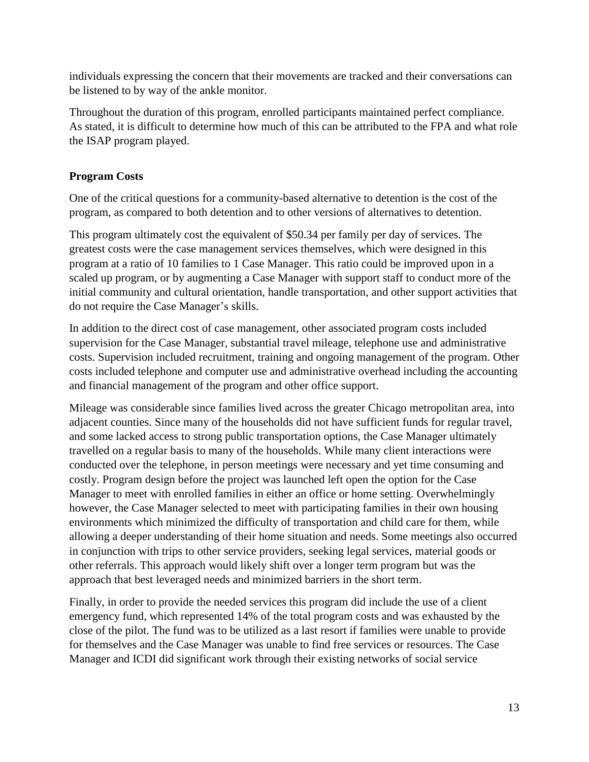individuals expressing the concern that their movements are tracked and their conversations can be listened to by way of the ankle monitor.

Throughout the duration of this program, enrolled participants maintained perfect compliance. As stated, it is difficult to determine how much of this can be attributed to the FPA and what role the ISAP program played.

## **Program Costs**

One of the critical questions for a community-based alternative to detention is the cost of the program, as compared to both detention and to other versions of alternatives to detention.

This program ultimately cost the equivalent of \$50.34 per family per day of services. The greatest costs were the case management services themselves, which were designed in this program at a ratio of 10 families to 1 Case Manager. This ratio could be improved upon in a scaled up program, or by augmenting a Case Manager with support staff to conduct more of the initial community and cultural orientation, handle transportation, and other support activities that do not require the Case Manager's skills.

In addition to the direct cost of case management, other associated program costs included supervision for the Case Manager, substantial travel mileage, telephone use and administrative costs. Supervision included recruitment, training and ongoing management of the program. Other costs included telephone and computer use and administrative overhead including the accounting and financial management of the program and other office support.

Mileage was considerable since families lived across the greater Chicago metropolitan area, into adjacent counties. Since many of the households did not have sufficient funds for regular travel, and some lacked access to strong public transportation options, the Case Manager ultimately travelled on a regular basis to many of the households. While many client interactions were conducted over the telephone, in person meetings were necessary and yet time consuming and costly. Program design before the project was launched left open the option for the Case Manager to meet with enrolled families in either an office or home setting. Overwhelmingly however, the Case Manager selected to meet with participating families in their own housing environments which minimized the difficulty of transportation and child care for them, while allowing a deeper understanding of their home situation and needs. Some meetings also occurred in conjunction with trips to other service providers, seeking legal services, material goods or other referrals. This approach would likely shift over a longer term program but was the approach that best leveraged needs and minimized barriers in the short term.

Finally, in order to provide the needed services this program did include the use of a client emergency fund, which represented 14% of the total program costs and was exhausted by the close of the pilot. The fund was to be utilized as a last resort if families were unable to provide for themselves and the Case Manager was unable to find free services or resources. The Case Manager and ICDI did significant work through their existing networks of social service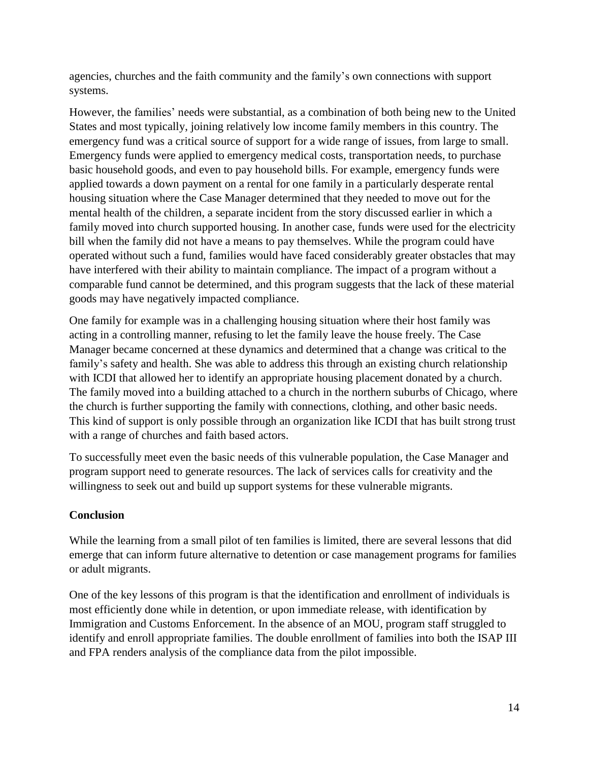agencies, churches and the faith community and the family's own connections with support systems.

However, the families' needs were substantial, as a combination of both being new to the United States and most typically, joining relatively low income family members in this country. The emergency fund was a critical source of support for a wide range of issues, from large to small. Emergency funds were applied to emergency medical costs, transportation needs, to purchase basic household goods, and even to pay household bills. For example, emergency funds were applied towards a down payment on a rental for one family in a particularly desperate rental housing situation where the Case Manager determined that they needed to move out for the mental health of the children, a separate incident from the story discussed earlier in which a family moved into church supported housing. In another case, funds were used for the electricity bill when the family did not have a means to pay themselves. While the program could have operated without such a fund, families would have faced considerably greater obstacles that may have interfered with their ability to maintain compliance. The impact of a program without a comparable fund cannot be determined, and this program suggests that the lack of these material goods may have negatively impacted compliance.

One family for example was in a challenging housing situation where their host family was acting in a controlling manner, refusing to let the family leave the house freely. The Case Manager became concerned at these dynamics and determined that a change was critical to the family's safety and health. She was able to address this through an existing church relationship with ICDI that allowed her to identify an appropriate housing placement donated by a church. The family moved into a building attached to a church in the northern suburbs of Chicago, where the church is further supporting the family with connections, clothing, and other basic needs. This kind of support is only possible through an organization like ICDI that has built strong trust with a range of churches and faith based actors.

To successfully meet even the basic needs of this vulnerable population, the Case Manager and program support need to generate resources. The lack of services calls for creativity and the willingness to seek out and build up support systems for these vulnerable migrants.

## **Conclusion**

While the learning from a small pilot of ten families is limited, there are several lessons that did emerge that can inform future alternative to detention or case management programs for families or adult migrants.

One of the key lessons of this program is that the identification and enrollment of individuals is most efficiently done while in detention, or upon immediate release, with identification by Immigration and Customs Enforcement. In the absence of an MOU, program staff struggled to identify and enroll appropriate families. The double enrollment of families into both the ISAP III and FPA renders analysis of the compliance data from the pilot impossible.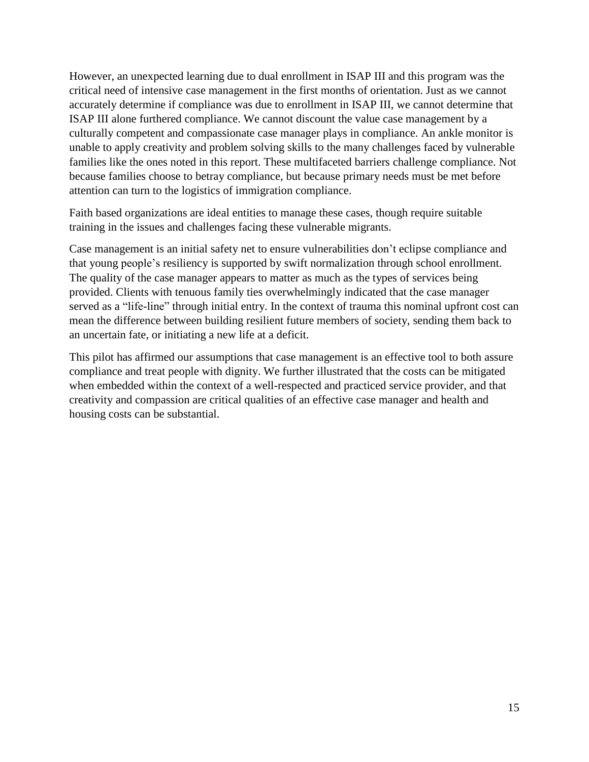However, an unexpected learning due to dual enrollment in ISAP III and this program was the critical need of intensive case management in the first months of orientation. Just as we cannot accurately determine if compliance was due to enrollment in ISAP III, we cannot determine that ISAP III alone furthered compliance. We cannot discount the value case management by a culturally competent and compassionate case manager plays in compliance. An ankle monitor is unable to apply creativity and problem solving skills to the many challenges faced by vulnerable families like the ones noted in this report. These multifaceted barriers challenge compliance. Not because families choose to betray compliance, but because primary needs must be met before attention can turn to the logistics of immigration compliance.

Faith based organizations are ideal entities to manage these cases, though require suitable training in the issues and challenges facing these vulnerable migrants.

Case management is an initial safety net to ensure vulnerabilities don't eclipse compliance and that young people's resiliency is supported by swift normalization through school enrollment. The quality of the case manager appears to matter as much as the types of services being provided. Clients with tenuous family ties overwhelmingly indicated that the case manager served as a "life-line" through initial entry. In the context of trauma this nominal upfront cost can mean the difference between building resilient future members of society, sending them back to an uncertain fate, or initiating a new life at a deficit.

This pilot has affirmed our assumptions that case management is an effective tool to both assure compliance and treat people with dignity. We further illustrated that the costs can be mitigated when embedded within the context of a well-respected and practiced service provider, and that creativity and compassion are critical qualities of an effective case manager and health and housing costs can be substantial.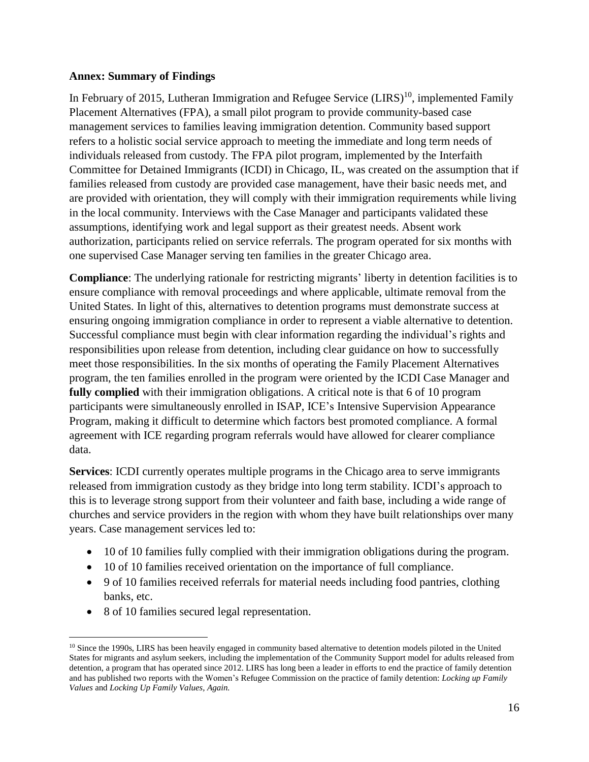#### **Annex: Summary of Findings**

In February of 2015, Lutheran Immigration and Refugee Service (LIRS)<sup>10</sup>, implemented Family Placement Alternatives (FPA), a small pilot program to provide community-based case management services to families leaving immigration detention. Community based support refers to a holistic social service approach to meeting the immediate and long term needs of individuals released from custody. The FPA pilot program, implemented by the Interfaith Committee for Detained Immigrants (ICDI) in Chicago, IL, was created on the assumption that if families released from custody are provided case management, have their basic needs met, and are provided with orientation, they will comply with their immigration requirements while living in the local community. Interviews with the Case Manager and participants validated these assumptions, identifying work and legal support as their greatest needs. Absent work authorization, participants relied on service referrals. The program operated for six months with one supervised Case Manager serving ten families in the greater Chicago area.

**Compliance**: The underlying rationale for restricting migrants' liberty in detention facilities is to ensure compliance with removal proceedings and where applicable, ultimate removal from the United States. In light of this, alternatives to detention programs must demonstrate success at ensuring ongoing immigration compliance in order to represent a viable alternative to detention. Successful compliance must begin with clear information regarding the individual's rights and responsibilities upon release from detention, including clear guidance on how to successfully meet those responsibilities. In the six months of operating the Family Placement Alternatives program, the ten families enrolled in the program were oriented by the ICDI Case Manager and **fully complied** with their immigration obligations. A critical note is that 6 of 10 program participants were simultaneously enrolled in ISAP, ICE's Intensive Supervision Appearance Program, making it difficult to determine which factors best promoted compliance. A formal agreement with ICE regarding program referrals would have allowed for clearer compliance data.

**Services**: ICDI currently operates multiple programs in the Chicago area to serve immigrants released from immigration custody as they bridge into long term stability. ICDI's approach to this is to leverage strong support from their volunteer and faith base, including a wide range of churches and service providers in the region with whom they have built relationships over many years. Case management services led to:

- 10 of 10 families fully complied with their immigration obligations during the program.
- 10 of 10 families received orientation on the importance of full compliance.
- 9 of 10 families received referrals for material needs including food pantries, clothing banks, etc.
- 8 of 10 families secured legal representation.

<sup>&</sup>lt;sup>10</sup> Since the 1990s, LIRS has been heavily engaged in community based alternative to detention models piloted in the United States for migrants and asylum seekers, including the implementation of the Community Support model for adults released from detention, a program that has operated since 2012. LIRS has long been a leader in efforts to end the practice of family detention and has published two reports with the Women's Refugee Commission on the practice of family detention: *Locking up Family Values* and *Locking Up Family Values, Again.*